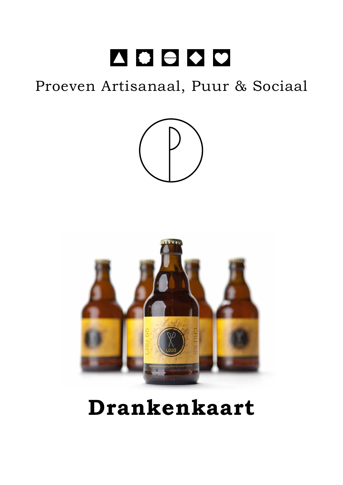# A & e o o

### Proeven Artisanaal, Puur & Sociaal





## **Drankenkaart**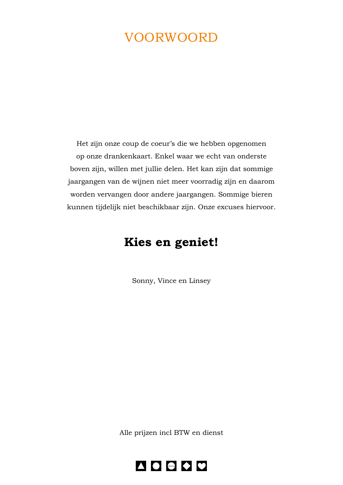#### VOORWOORD

Het zijn onze coup de coeur's die we hebben opgenomen op onze drankenkaart. Enkel waar we echt van onderste boven zijn, willen met jullie delen. Het kan zijn dat sommige jaargangen van de wijnen niet meer voorradig zijn en daarom worden vervangen door andere jaargangen. Sommige bieren kunnen tijdelijk niet beschikbaar zijn. Onze excuses hiervoor.

#### **Kies en geniet!**

Sonny, Vince en Linsey

Alle prijzen incl BTW en dienst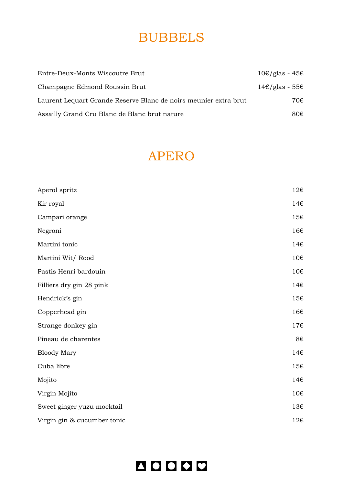#### BUBBELS

| Entre-Deux-Monts Wiscoutre Brut                                  | $10€$ /glas - 45€ |
|------------------------------------------------------------------|-------------------|
| Champagne Edmond Roussin Brut                                    | $14€$ /glas - 55€ |
| Laurent Lequart Grande Reserve Blanc de noirs meunier extra brut | 70€               |
| Assailly Grand Cru Blanc de Blanc brut nature                    | 80€               |

### APERO

| Aperol spritz               | 12€          |
|-----------------------------|--------------|
| Kir royal                   | 14€          |
| Campari orange              | 15€          |
| Negroni                     | 16€          |
| Martini tonic               | 14€          |
| Martini Wit/Rood            | 10€          |
| Pastis Henri bardouin       | 10€          |
| Filliers dry gin 28 pink    | 14€          |
| Hendrick's gin              | 15€          |
| Copperhead gin              | 16€          |
| Strange donkey gin          | $17\epsilon$ |
| Pineau de charentes         | 8€           |
| <b>Bloody Mary</b>          | 14€          |
| Cuba libre                  | 15€          |
| Mojito                      | 14€          |
| Virgin Mojito               | 10€          |
| Sweet ginger yuzu mocktail  | 13€          |
| Virgin gin & cucumber tonic | 12€          |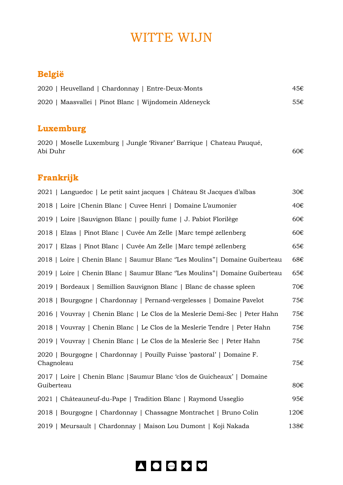#### WITTE WIJN

#### **België**

| 2020   Heuvelland   Chardonnay   Entre-Deux-Monts      | 45€ |
|--------------------------------------------------------|-----|
| 2020   Maasvallei   Pinot Blanc   Wijndomein Aldeneyck | 55€ |

#### **Luxemburg**

2020 | Moselle Luxemburg | Jungle 'Rivaner' Barrique | Chateau Pauqué, Abi Duhr 60 $\epsilon$ 

#### **Frankrijk**

| 2021   Languedoc   Le petit saint jacques   Château St Jacques d'albas                 | 30€  |
|----------------------------------------------------------------------------------------|------|
| 2018   Loire   Chenin Blanc   Cuvee Henri   Domaine L'aumonier                         | 40€  |
| 2019   Loire   Sauvignon Blanc   pouilly fume   J. Pabiot Florilège                    | 60€  |
| 2018   Elzas   Pinot Blanc   Cuvée Am Zelle   Marc tempé zellenberg                    | 60€  |
| 2017   Elzas   Pinot Blanc   Cuvée Am Zelle   Marc tempé zellenberg                    | 65€  |
| 2018   Loire   Chenin Blanc   Saumur Blanc "Les Moulins"   Domaine Guiberteau          | 68€  |
| 2019   Loire   Chenin Blanc   Saumur Blanc "Les Moulins"   Domaine Guiberteau          | 65€  |
| 2019   Bordeaux   Semillion Sauvignon Blanc   Blanc de chasse spleen                   | 70€  |
| 2018   Bourgogne   Chardonnay   Pernand-vergelesses   Domaine Pavelot                  | 75€  |
| 2016   Vouvray   Chenin Blanc   Le Clos de la Meslerie Demi-Sec   Peter Hahn           | 75€  |
| 2018   Vouvray   Chenin Blanc   Le Clos de la Meslerie Tendre   Peter Hahn             | 75€  |
| 2019   Vouvray   Chenin Blanc   Le Clos de la Meslerie Sec   Peter Hahn                | 75€  |
| 2020   Bourgogne   Chardonnay   Pouilly Fuisse 'pastoral'   Domaine F.<br>Chagnoleau   | 75€  |
| 2017   Loire   Chenin Blanc   Saumur Blanc 'clos de Guicheaux'   Domaine<br>Guiberteau | 80€  |
| 2021   Châteauneuf-du-Pape   Tradition Blanc   Raymond Usseglio                        | 95€  |
| 2018   Bourgogne   Chardonnay   Chassagne Montrachet   Bruno Colin                     | 120€ |
| 2019   Meursault   Chardonnay   Maison Lou Dumont   Koji Nakada                        | 138€ |

### **NO 800**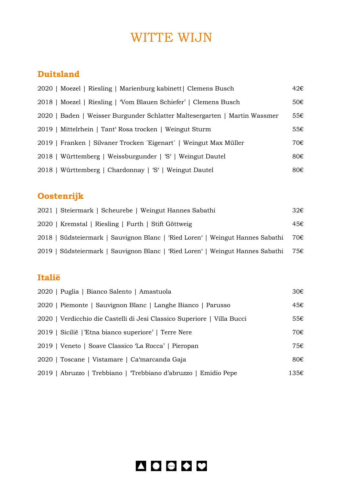### WITTE WIJN

#### **Duitsland**

| 2020   Moezel   Riesling   Marienburg kabinett   Clemens Busch             | 42€ |
|----------------------------------------------------------------------------|-----|
| 2018   Moezel   Riesling   'Vom Blauen Schiefer'   Clemens Busch           | 50€ |
| 2020   Baden   Weisser Burgunder Schlatter Maltesergarten   Martin Wassmer | 55€ |
| 2019   Mittelrhein   Tant' Rosa trocken   Weingut Sturm                    | 55€ |
| 2019   Franken   Silvaner Trocken Eigenart   Weingut Max Müller            | 70€ |
| 2018   Württemberg   Weissburgunder   'S'   Weingut Dautel                 | 80€ |
| 2018   Württemberg   Chardonnay   'S'   Weingut Dautel                     | 80€ |

#### **Oostenrijk**

| 2021   Steiermark   Scheurebe   Weingut Hannes Sabathi                                       | $32\epsilon$ |
|----------------------------------------------------------------------------------------------|--------------|
| 2020   Kremstal   Riesling   Furth   Stift Göttweig                                          | 45€          |
| 2018   Südsteiermark   Sauvignon Blanc   'Ried Loren'   Weingut Hannes Sabathi 70 $\epsilon$ |              |
| 2019   Südsteiermark   Sauvignon Blanc   'Ried Loren'   Weingut Hannes Sabathi $75\epsilon$  |              |

#### **Italië**

| 2020   Puglia   Bianco Salento   Amastuola                              | 30€  |
|-------------------------------------------------------------------------|------|
| 2020   Piemonte   Sauvignon Blanc   Langhe Bianco   Parusso             | 45€  |
| 2020   Verdicchio die Castelli di Jesi Classico Superiore   Villa Bucci | 55€  |
| 2019   Sicilië   Etna bianco superiore'   Terre Nere                    | 70€  |
| 2019   Veneto   Soave Classico 'La Rocca'   Pieropan                    | 75€  |
| 2020   Toscane   Vistamare   Ca'marcanda Gaja                           | 80€  |
| 2019   Abruzzo   Trebbiano   Trebbiano d'abruzzo   Emidio Pepe          | 135€ |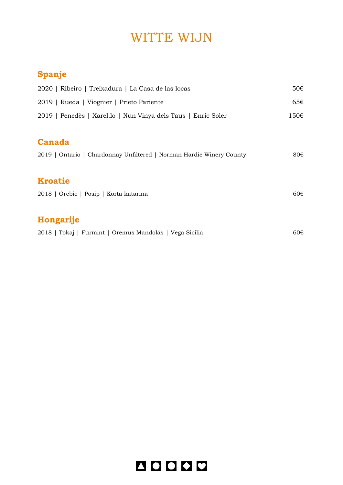### WITTE WIJN

#### **Spanje**

| 2020   Ribeiro   Treixadura   La Casa de las locas                   | 50€             |
|----------------------------------------------------------------------|-----------------|
| 2019   Rueda   Viognier   Prieto Pariente                            | 65€             |
| 2019   Penedès   Xarel.lo   Nun Vinya dels Taus   Enric Soler        | 150€            |
|                                                                      |                 |
| Canada                                                               |                 |
| 2019   Ontario   Chardonnay Unfiltered   Norman Hardie Winery County | 80€             |
|                                                                      |                 |
| <b>Kroatie</b>                                                       |                 |
| 2018   Orebic   Posip   Korta katarina                               | 60 <sup>ε</sup> |
|                                                                      |                 |
| Hongarije                                                            |                 |
| 2018   Tokaj   Furmint   Oremus Mandolás   Vega Sicilia              | 60€             |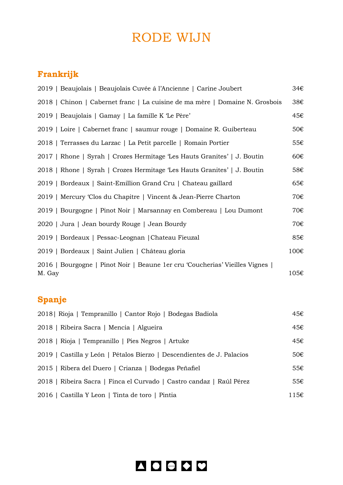### RODE WIJN

#### **Frankrijk**

| 2019   Beaujolais   Beaujolais Cuvée á l'Ancienne   Carine Joubert           | 34€  |
|------------------------------------------------------------------------------|------|
| 2018   Chinon   Cabernet franc   La cuisine de ma mère   Domaine N. Grosbois | 38€  |
| 2019   Beaujolais   Gamay   La famille K 'Le Père'                           | 45€  |
| 2019   Loire   Cabernet franc   saumur rouge   Domaine R. Guiberteau         | 50€  |
| 2018   Terrasses du Larzac   La Petit parcelle   Romain Portier              | 55€  |
| 2017   Rhone   Syrah   Crozes Hermitage 'Les Hauts Granites'   J. Boutin     | 60€  |
| 2018   Rhone   Syrah   Crozes Hermitage 'Les Hauts Granites'   J. Boutin     | 58€  |
| 2019   Bordeaux   Saint-Emillion Grand Cru   Chateau gaillard                | 65€  |
| 2019   Mercury 'Clos du Chapitre   Vincent & Jean-Pierre Charton             | 70€  |
| 2019   Bourgogne   Pinot Noir   Marsannay en Combereau   Lou Dumont          | 70€  |
| 2020   Jura   Jean bourdy Rouge   Jean Bourdy                                | 70€  |
| 2019   Bordeaux   Pessac-Leognan   Chateau Fieuzal                           | 85€  |
| 2019   Bordeaux   Saint Julien   Château gloria                              | 100€ |
| 2016   Bourgogne   Pinot Noir   Beaune 1 er cru 'Coucherias' Vieilles Vignes |      |
| M. Gay                                                                       | 105€ |

#### **Spanje**

| 2018   Rioja   Tempranillo   Cantor Rojo   Bodegas Badiola             | 45€              |
|------------------------------------------------------------------------|------------------|
| 2018   Ribeira Sacra   Mencia   Algueira                               | 45€              |
| 2018   Rioja   Tempranillo   Pies Negros   Artuke                      | 45€              |
| 2019   Castilla y León   Pétalos Bierzo   Descendientes de J. Palacios | 50€              |
| 2015   Ribera del Duero   Crianza   Bodegas Peñafiel                   | 55€              |
| 2018   Ribeira Sacra   Finca el Curvado   Castro candaz   Raúl Pérez   | 55€              |
| 2016   Castilla Y Leon   Tinta de toro   Pintia                        | $115\varepsilon$ |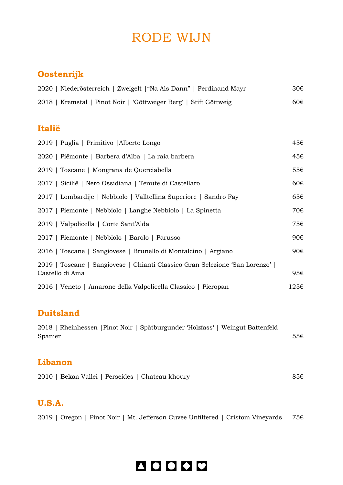#### RODE WIJN

#### **Oostenrijk**

| 2020   Niederösterreich   Zweigelt   "Na Als Dann"   Ferdinand Mayr | 30€ |
|---------------------------------------------------------------------|-----|
| 2018   Kremstal   Pinot Noir   'Göttweiger Berg'   Stift Göttweig   | 60€ |

#### **Italië**

| 2019   Puglia   Primitivo   Alberto Longo                                   | 45€              |
|-----------------------------------------------------------------------------|------------------|
| 2020   Piëmonte   Barbera d'Alba   La raia barbera                          | 45€              |
| 2019   Toscane   Mongrana de Querciabella                                   | 55€              |
| 2017   Sicilië   Nero Ossidiana   Tenute di Castellaro                      | 60€              |
| 2017   Lombardije   Nebbiolo   Valltellina Superiore   Sandro Fay           | 65€              |
| 2017   Piemonte   Nebbiolo   Langhe Nebbiolo   La Spinetta                  | 70€              |
| 2019   Valpolicella   Corte Sant'Alda                                       | 75€              |
| 2017   Piemonte   Nebbiolo   Barolo   Parusso                               | 90€              |
| 2016   Toscane   Sangiovese   Brunello di Montalcino   Argiano              | 90€              |
| 2019   Toscane   Sangiovese   Chianti Classico Gran Selezione 'San Lorenzo' |                  |
| Castello di Ama                                                             | 95€              |
| 2016   Veneto   Amarone della Valpolicella Classico   Pieropan              | $125\varepsilon$ |

#### **Duitsland**

2018 | Rheinhessen |Pinot Noir | Spätburgunder 'Holzfass' | Weingut Battenfeld Spanier 55 $\epsilon$ 

#### **Libanon**

|  |  |  | 2010   Bekaa Vallei   Perseides   Chateau khoury | 85€ |
|--|--|--|--------------------------------------------------|-----|
|--|--|--|--------------------------------------------------|-----|

#### **U.S.A.**

2019 | Oregon | Pinot Noir | Mt. Jefferson Cuvee Unfiltered | Cristom Vineyards 75€

### **NO 800**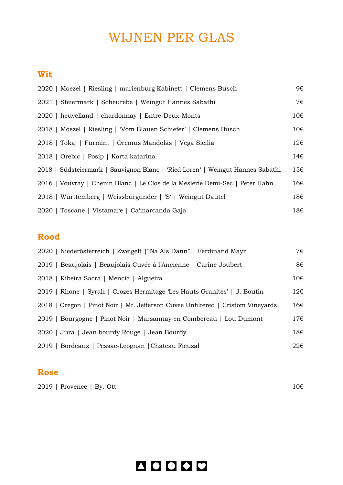### WIJNEN PER GLAS

#### **Wit**

| 2020   Moezel   Riesling   marienburg Kabinett   Clemens Busch                 | 9€  |
|--------------------------------------------------------------------------------|-----|
| 2021   Steiermark   Scheurebe   Weingut Hannes Sabathi                         | 7€  |
| 2020   heuvelland   chardonnay   Entre-Deux-Monts                              | 10€ |
| 2018   Moezel   Riesling   'Vom Blauen Schiefer'   Clemens Busch               | 10€ |
| 2018   Tokaj   Furmint   Oremus Mandolás   Vega Sicilia                        | 12€ |
| 2018   Orebic   Posip   Korta katarina                                         | 14€ |
| 2018   Südsteiermark   Sauvignon Blanc   'Ried Loren'   Weingut Hannes Sabathi | 15€ |
| 2016   Vouvray   Chenin Blanc   Le Clos de la Meslerie Demi-Sec   Peter Hahn   | 16€ |
| 2018   Württemberg   Weissburgunder   'S'   Weingut Dautel                     | 18€ |
| 2020   Toscane   Vistamare   Ca'marcanda Gaja                                  | 18€ |

#### **Rood**

| 2020   Niederösterreich   Zweigelt   "Na Als Dann"   Ferdinand Mayr             | 7€              |
|---------------------------------------------------------------------------------|-----------------|
| 2019   Beaujolais   Beaujolais Cuvée á l'Ancienne   Carine Joubert              | 8€              |
| 2018   Ribeira Sacra   Mencia   Algueira                                        | $10 \in$        |
| 2019   Rhone   Syrah   Crozes Hermitage 'Les Hauts Granites'   J. Boutin        | 12€             |
| 2018   Oregon   Pinot Noir   Mt. Jefferson Cuvee Unfiltered   Cristom Vineyards | 16€             |
| 2019   Bourgogne   Pinot Noir   Marsannay en Combereau   Lou Dumont             | 17€             |
| 2020   Jura   Jean bourdy Rouge   Jean Bourdy                                   | 18€             |
| 2019   Bordeaux   Pessac-Leognan   Chateau Fieuzal                              | $22\varepsilon$ |

#### **Rose**

|  | 2019   Provence   By. Ott |  | 10€ |
|--|---------------------------|--|-----|
|--|---------------------------|--|-----|

### **ACCO0**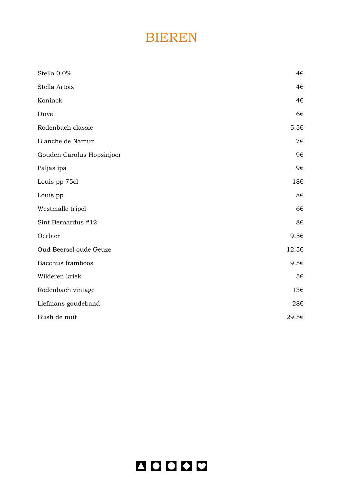#### BIEREN

| Stella 0.0%               | 4€                |
|---------------------------|-------------------|
| Stella Artois             | 4€                |
| Koninck                   | 4€                |
| Duvel                     | 6€                |
| Rodenbach classic         | 5.5E              |
| Blanche de Namur          | 7€                |
| Gouden Carolus Hopsinjoor | 9€                |
| Paljas ipa                | 9€                |
| Louis pp 75cl             | 18€               |
| Louis pp                  | 8€                |
| Westmalle tripel          | 6€                |
| Sint Bernardus #12        | 8€                |
| Oerbier                   | $9.5\varepsilon$  |
| Oud Beersel oude Geuze    | $12.5\varepsilon$ |
| Bacchus framboos          | $9.5\varepsilon$  |
| Wilderen kriek            | 5€                |
| Rodenbach vintage         | 13€               |
| Liefmans goudeband        | 28€               |
| Bush de nuit              | 29.5€             |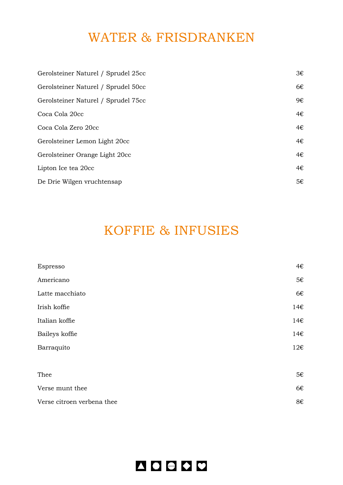#### WATER & FRISDRANKEN

| Gerolsteiner Naturel / Sprudel 25cc | 3€ |
|-------------------------------------|----|
| Gerolsteiner Naturel / Sprudel 50cc | 6€ |
| Gerolsteiner Naturel / Sprudel 75cc | 9€ |
| Coca Cola 20cc                      | 4€ |
| Coca Cola Zero 20cc                 | 4€ |
| Gerolsteiner Lemon Light 20cc       | 4€ |
| Gerolsteiner Orange Light 20cc      | 4€ |
| Lipton Ice tea 20cc                 | 4€ |
| De Drie Wilgen vruchtensap          | 5€ |

### KOFFIE & INFUSIES

| Espresso                   | 4€              |
|----------------------------|-----------------|
| Americano                  | 5€              |
| Latte macchiato            | 6€              |
| Irish koffie               | 14E             |
| Italian koffie             | 14E             |
| Baileys koffie             | 14E             |
| Barraquito                 | $12\varepsilon$ |
|                            |                 |
| Thee                       | 5€              |
| Verse munt thee            | 6€              |
| Verse citroen verbena thee | 8€              |

### **NO 800**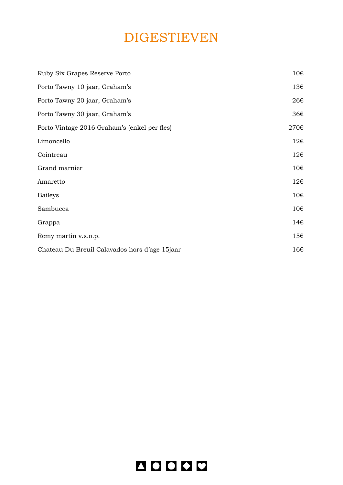### DIGESTIEVEN

| Ruby Six Grapes Reserve Porto                 | 10€             |
|-----------------------------------------------|-----------------|
| Porto Tawny 10 jaar, Graham's                 | $13\varepsilon$ |
| Porto Tawny 20 jaar, Graham's                 | 26€             |
| Porto Tawny 30 jaar, Graham's                 | 36€             |
| Porto Vintage 2016 Graham's (enkel per fles)  | 270€            |
| Limoncello                                    | $12\varepsilon$ |
| Cointreau                                     | $12\varepsilon$ |
| Grand marnier                                 | $10 \epsilon$   |
| Amaretto                                      | $12\varepsilon$ |
| <b>Baileys</b>                                | $10 \epsilon$   |
| Sambucca                                      | $10 \epsilon$   |
| Grappa                                        | 14€             |
| Remy martin v.s.o.p.                          | $15\varepsilon$ |
| Chateau Du Breuil Calavados hors d'age 15jaar | 16€             |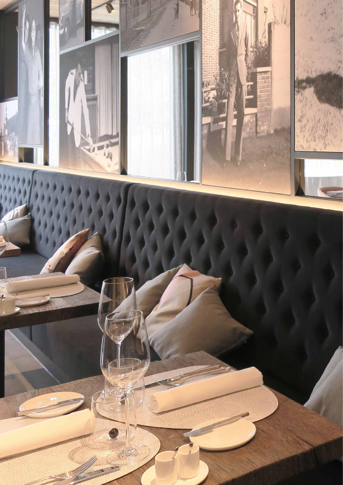